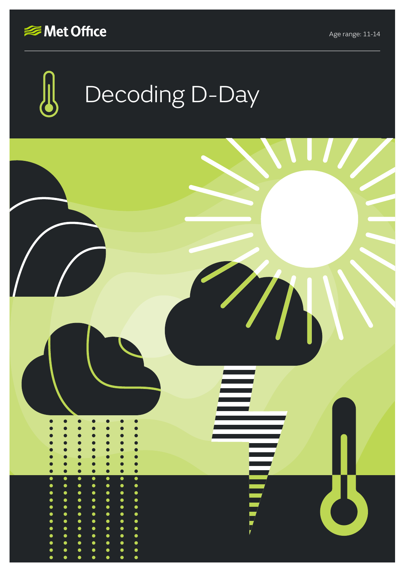



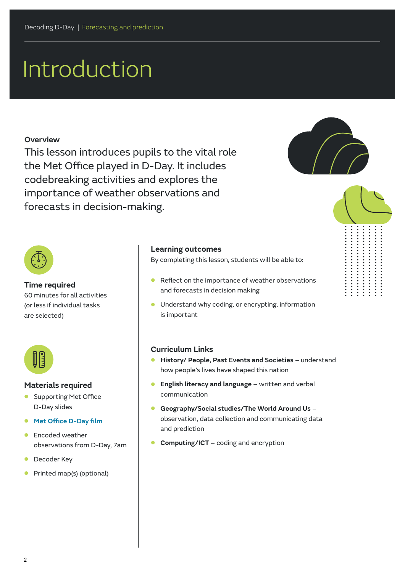# Introduction

### **Overview**

This lesson introduces pupils to the vital role the Met Office played in D-Day. It includes codebreaking activities and explores the importance of weather observations and forecasts in decision-making.



...........



### **Time required**

60 minutes for all activities (or less if individual tasks are selected)



#### **Materials required**

- **•** Supporting Met Office D-Day slides
- **• [Met Office D-Day film](https://www.youtube.com/watch?v=DK_8w7q9IkQ)**
- **•** Encoded weather observations from D-Day, 7am
- **•** Decoder Key
- **•** Printed map(s) (optional)

#### **Learning outcomes**

By completing this lesson, students will be able to:

- **•** Reflect on the importance of weather observations and forecasts in decision making
- **•** Understand why coding, or encrypting, information is important

## **Curriculum Links**

- **• History/ People, Past Events and Societies** understand how people's lives have shaped this nation
- **• English literacy and language** written and verbal communication
- **• Geography/Social studies/The World Around Us** observation, data collection and communicating data and prediction
- **• Computing/ICT** coding and encryption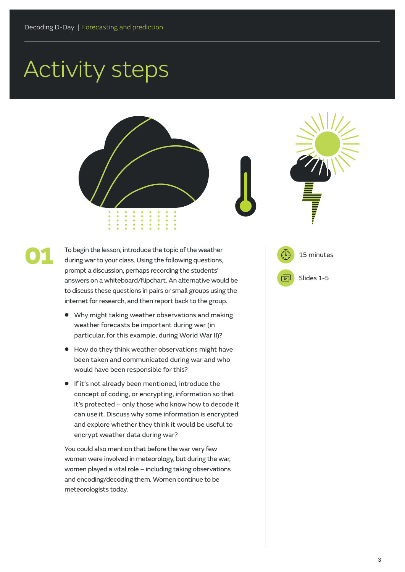# Activity steps

01





To begin the lesson, introduce the topic of the weather during war to your class. Using the following questions, prompt a discussion, perhaps recording the students' answers on a whiteboard/flipchart. An alternative would be to discuss these questions in pairs or small groups using the internet for research, and then report back to the group.

- **•** Why might taking weather observations and making weather forecasts be important during war (in particular, for this example, during World War II)?
- **•** How do they think weather observations might have been taken and communicated during war and who would have been responsible for this?
- **•** If it's not already been mentioned, introduce the concept of coding, or encrypting, information so that it's protected – only those who know how to decode it can use it. Discuss why some information is encrypted and explore whether they think it would be useful to encrypt weather data during war?

You could also mention that before the war very few women were involved in meteorology, but during the war, women played a vital role – including taking observations and encoding/decoding them. Women continue to be meteorologists today.

15 minutes 同 Slides 1-5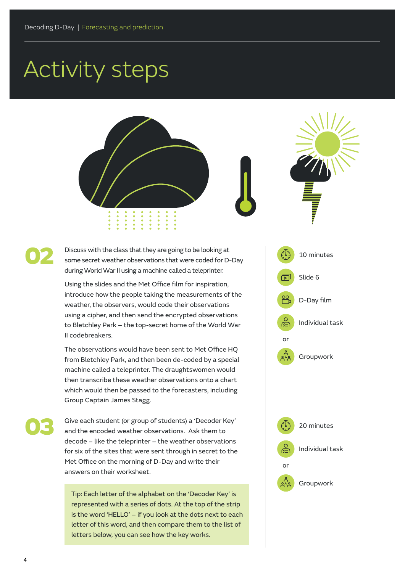# Activity steps





Discuss with the class that they are going to be looking at some secret weather observations that were coded for D-Day during World War II using a machine called a teleprinter.

Using the slides and the Met Office film for inspiration, introduce how the people taking the measurements of the weather, the observers, would code their observations using a cipher, and then send the encrypted observations to Bletchley Park – the top-secret home of the World War II codebreakers.

The observations would have been sent to Met Office HQ from Bletchley Park, and then been de-coded by a special machine called a teleprinter. The draughtswomen would then transcribe these weather observations onto a chart which would then be passed to the forecasters, including Group Captain James Stagg.

Give each student (or group of students) a 'Decoder Key' and the encoded weather observations. Ask them to decode – like the teleprinter – the weather observations for six of the sites that were sent through in secret to the Met Office on the morning of D-Day and write their answers on their worksheet.

Tip: Each letter of the alphabet on the 'Decoder Key' is represented with a series of dots. At the top of the strip is the word 'HELLO' – if you look at the dots next to each letter of this word, and then compare them to the list of letters below, you can see how the key works.



02

03